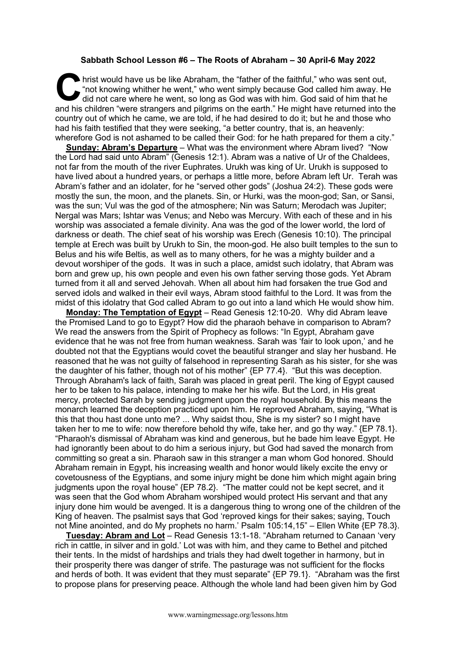## **Sabbath School Lesson #6 – The Roots of Abraham – 30 April-6 May 2022**

hrist would have us be like Abraham, the "father of the faithful," who was sent out, "not knowing whither he went," who went simply because God called him away. He did not care where he went, so long as God was with him. G "not knowing whither he went," who went simply because God called him away. He did not care where he went, so long as God was with him. God said of him that he and his children "were strangers and pilgrims on the earth." He might have returned into the country out of which he came, we are told, if he had desired to do it; but he and those who had his faith testified that they were seeking, "a better country, that is, an heavenly: wherefore God is not ashamed to be called their God: for he hath prepared for them a city."

**Sunday: Abram's Departure** – What was the environment where Abram lived? "Now the Lord had said unto Abram" (Genesis 12:1). Abram was a native of Ur of the Chaldees, not far from the mouth of the river Euphrates. Urukh was king of Ur. Urukh is supposed to have lived about a hundred years, or perhaps a little more, before Abram left Ur. Terah was Abram's father and an idolater, for he "served other gods" (Joshua 24:2). These gods were mostly the sun, the moon, and the planets. Sin, or Hurki, was the moon-god; San, or Sansi, was the sun; Vul was the god of the atmosphere; Nin was Saturn; Merodach was Jupiter; Nergal was Mars; Ishtar was Venus; and Nebo was Mercury. With each of these and in his worship was associated a female divinity. Ana was the god of the lower world, the lord of darkness or death. The chief seat of his worship was Erech (Genesis 10:10). The principal temple at Erech was built by Urukh to Sin, the moon-god. He also built temples to the sun to Belus and his wife Beltis, as well as to many others, for he was a mighty builder and a devout worshiper of the gods. It was in such a place, amidst such idolatry, that Abram was born and grew up, his own people and even his own father serving those gods. Yet Abram turned from it all and served Jehovah. When all about him had forsaken the true God and served idols and walked in their evil ways, Abram stood faithful to the Lord. It was from the midst of this idolatry that God called Abram to go out into a land which He would show him.

**Monday: The Temptation of Egypt** – Read Genesis 12:10-20. Why did Abram leave the Promised Land to go to Egypt? How did the pharaoh behave in comparison to Abram? We read the answers from the Spirit of Prophecy as follows: "In Egypt, Abraham gave evidence that he was not free from human weakness. Sarah was 'fair to look upon,' and he doubted not that the Egyptians would covet the beautiful stranger and slay her husband. He reasoned that he was not guilty of falsehood in representing Sarah as his sister, for she was the daughter of his father, though not of his mother" {EP 77.4}. "But this was deception. Through Abraham's lack of faith, Sarah was placed in great peril. The king of Egypt caused her to be taken to his palace, intending to make her his wife. But the Lord, in His great mercy, protected Sarah by sending judgment upon the royal household. By this means the monarch learned the deception practiced upon him. He reproved Abraham, saying, "What is this that thou hast done unto me? ... Why saidst thou, She is my sister? so I might have taken her to me to wife: now therefore behold thy wife, take her, and go thy way." {EP 78.1}. "Pharaoh's dismissal of Abraham was kind and generous, but he bade him leave Egypt. He had ignorantly been about to do him a serious injury, but God had saved the monarch from committing so great a sin. Pharaoh saw in this stranger a man whom God honored. Should Abraham remain in Egypt, his increasing wealth and honor would likely excite the envy or covetousness of the Egyptians, and some injury might be done him which might again bring judgments upon the royal house" {EP 78.2}. "The matter could not be kept secret, and it was seen that the God whom Abraham worshiped would protect His servant and that any injury done him would be avenged. It is a dangerous thing to wrong one of the children of the King of heaven. The psalmist says that God 'reproved kings for their sakes; saying, Touch not Mine anointed, and do My prophets no harm.' Psalm 105:14,15" – Ellen White {EP 78.3}.

**Tuesday: Abram and Lot** – Read Genesis 13:1-18. "Abraham returned to Canaan 'very rich in cattle, in silver and in gold.' Lot was with him, and they came to Bethel and pitched their tents. In the midst of hardships and trials they had dwelt together in harmony, but in their prosperity there was danger of strife. The pasturage was not sufficient for the flocks and herds of both. It was evident that they must separate" {EP 79.1}. "Abraham was the first to propose plans for preserving peace. Although the whole land had been given him by God